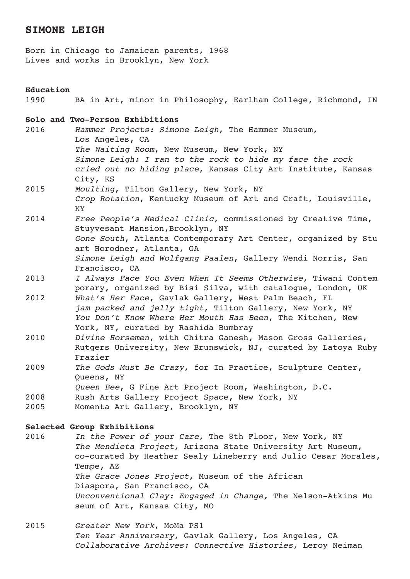# **SIMONE LEIGH**

Born in Chicago to Jamaican parents, 1968 Lives and works in Brooklyn, New York

### **Education**

1990 BA in Art, minor in Philosophy, Earlham College, Richmond, IN

# **Solo and Two-Person Exhibitions**

- 2016 *Hammer Projects: Simone Leigh*, The Hammer Museum, Los Angeles, CA *The Waiting Room*, New Museum, New York, NY *Simone Leigh: I ran to the rock to hide my face the rock cried out no hiding place*, Kansas City Art Institute, Kansas City, KS 2015 *Moulting*, Tilton Gallery, New York, NY
- *Crop Rotation*, Kentucky Museum of Art and Craft, Louisville, KY
- 2014 *Free People's Medical Clinic*, commissioned by Creative Time, Stuyvesant Mansion,Brooklyn, NY *Gone South*, Atlanta Contemporary Art Center, organized by Stu art Horodner, Atlanta, GA *Simone Leigh and Wolfgang Paalen*, Gallery Wendi Norris, San Francisco, CA
- 2013 *I Always Face You Even When It Seems Otherwise*, Tiwani Contem porary, organized by Bisi Silva, with catalogue, London, UK
- 2012 *What's Her Face*, Gavlak Gallery, West Palm Beach, FL *jam packed and jelly tight*, Tilton Gallery, New York, NY *You Don't Know Where Her Mouth Has Been*, The Kitchen, New York, NY, curated by Rashida Bumbray
- 2010 *Divine Horsemen*, with Chitra Ganesh, Mason Gross Galleries, Rutgers University, New Brunswick, NJ, curated by Latoya Ruby Frazier
- 2009 *The Gods Must Be Crazy*, for In Practice, Sculpture Center, Queens, NY
- *Queen Bee*, G Fine Art Project Room, Washington, D.C.
- 2008 Rush Arts Gallery Project Space, New York, NY
- 2005 Momenta Art Gallery, Brooklyn, NY

#### **Selected Group Exhibitions**

- 2016 *In the Power of your Care*, The 8th Floor, New York, NY *The Mendieta Project*, Arizona State University Art Museum, co-curated by Heather Sealy Lineberry and Julio Cesar Morales, Tempe, AZ *The Grace Jones Project*, Museum of the African Diaspora, San Francisco, CA *Unconventional Clay: Engaged in Change,* The Nelson-Atkins Mu seum of Art, Kansas City, MO
- 2015 *Greater New York*, MoMa PS1 *Ten Year Anniversary*, Gavlak Gallery, Los Angeles, CA *Collaborative Archives: Connective Histories*, Leroy Neiman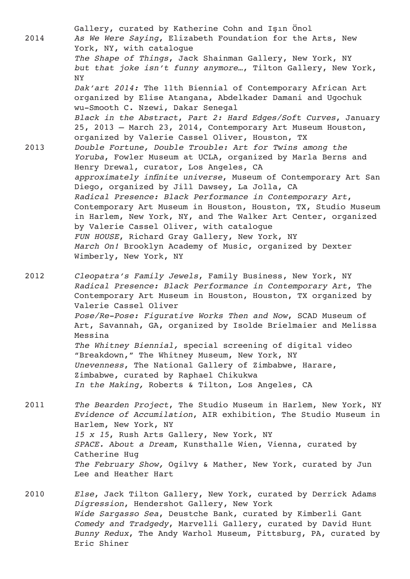Gallery, curated by Katherine Cohn and Işın Önol 2014 *As We Were Saying*, Elizabeth Foundation for the Arts, New York, NY, with catalogue *The Shape of Things*, Jack Shainman Gallery, New York, NY *but that joke isn't funny anymore…*, Tilton Gallery, New York, NY *Dak'art 2014:* The 11th Biennial of Contemporary African Art organized by Elise Atangana, Abdelkader Damani and Ugochuk wu-Smooth C. Nzewi, Dakar Senegal *Black in the Abstract*, *Part 2: Hard Edges/Soft Curves*, January 25, 2013 – March 23, 2014, Contemporary Art Museum Houston, organized by Valerie Cassel Oliver, Houston, TX 2013 *Double Fortune, Double Trouble: Art for Twins among the Yoruba*, Fowler Museum at UCLA, organized by Marla Berns and Henry Drewal, curator, Los Angeles, CA *approximately infinite universe*, Museum of Contemporary Art San Diego, organized by Jill Dawsey, La Jolla, CA *Radical Presence: Black Performance in Contemporary Art*, Contemporary Art Museum in Houston, Houston, TX, Studio Museum in Harlem, New York, NY, and The Walker Art Center, organized by Valerie Cassel Oliver, with catalogue *FUN HOUSE*, Richard Gray Gallery, New York, NY *March On!* Brooklyn Academy of Music, organized by Dexter Wimberly, New York, NY

2012 *Cleopatra's Family Jewels*, Family Business, New York, NY *Radical Presence: Black Performance in Contemporary Art*, The Contemporary Art Museum in Houston, Houston, TX organized by Valerie Cassel Oliver *Pose/Re-Pose: Figurative Works Then and Now*, SCAD Museum of Art, Savannah, GA, organized by Isolde Brielmaier and Melissa Messina *The Whitney Biennial,* special screening of digital video "Breakdown," The Whitney Museum, New York, NY *Unevenness*, The National Gallery of Zimbabwe, Harare, Zimbabwe, curated by Raphael Chikukwa *In the Making,* Roberts & Tilton, Los Angeles, CA

- 2011 *The Bearden Project*, The Studio Museum in Harlem, New York, NY *Evidence of Accumilation*, AIR exhibition, The Studio Museum in Harlem, New York, NY *15 x 15*, Rush Arts Gallery, New York, NY *SPACE. About a Dream*, Kunsthalle Wien, Vienna, curated by Catherine Hug *The February Show,* Ogilvy & Mather, New York, curated by Jun Lee and Heather Hart
- 2010 *Else*, Jack Tilton Gallery, New York, curated by Derrick Adams *Digression*, Hendershot Gallery, New York *Wide Sargasso Sea*, Deustche Bank, curated by Kimberli Gant *Comedy and Tradgedy*, Marvelli Gallery, curated by David Hunt *Bunny Redux*, The Andy Warhol Museum, Pittsburg, PA, curated by Eric Shiner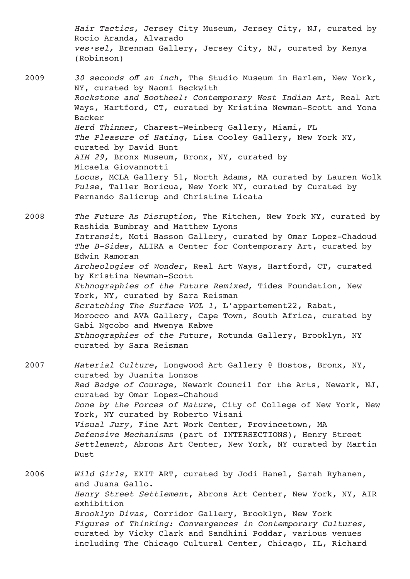*Hair Tactics*, Jersey City Museum, Jersey City, NJ, curated by Rocio Aranda, Alvarado *ves·sel,* Brennan Gallery, Jersey City, NJ, curated by Kenya (Robinson) 2009 *30 seconds off an inch*, The Studio Museum in Harlem, New York, NY, curated by Naomi Beckwith *Rockstone and Bootheel: Contemporary West Indian Art*, Real Art Ways, Hartford, CT, curated by Kristina Newman-Scott and Yona Backer *Herd Thinner*, Charest-Weinberg Gallery, Miami, FL *The Pleasure of Hating*, Lisa Cooley Gallery, New York NY, curated by David Hunt *AIM 29*, Bronx Museum, Bronx, NY, curated by Micaela Giovannotti *Locus*, MCLA Gallery 51, North Adams, MA curated by Lauren Wolk *Pulse*, Taller Boricua, New York NY, curated by Curated by Fernando Salicrup and Christine Licata 2008 *The Future As Disruption*, The Kitchen, New York NY, curated by Rashida Bumbray and Matthew Lyons *Intransit*, Moti Hasson Gallery, curated by Omar Lopez-Chadoud *The B-Sides*, ALIRA a Center for Contemporary Art, curated by Edwin Ramoran *Archeologies of Wonder*, Real Art Ways, Hartford, CT, curated by Kristina Newman-Scott *Ethnographies of the Future Remixed*, Tides Foundation, New York, NY, curated by Sara Reisman *Scratching The Surface VOL 1*, L'appartement22, Rabat, Morocco and AVA Gallery, Cape Town, South Africa, curated by Gabi Ngcobo and Mwenya Kabwe *Ethnographies of the Future*, Rotunda Gallery, Brooklyn, NY curated by Sara Reisman

2007 *Material Culture*, Longwood Art Gallery @ Hostos, Bronx, NY, curated by Juanita Lonzos *Red Badge of Courage*, Newark Council for the Arts, Newark, NJ, curated by Omar Lopez-Chahoud *Done by the Forces of Nature*, City of College of New York, New York, NY curated by Roberto Visani *Visual Jury*, Fine Art Work Center, Provincetown, MA *Defensive Mechanisms* (part of INTERSECTIONS), Henry Street *Settlement*, Abrons Art Center, New York, NY curated by Martin Dust

2006 *Wild Girls*, EXIT ART, curated by Jodi Hanel, Sarah Ryhanen, and Juana Gallo. *Henry Street Settlement*, Abrons Art Center, New York, NY, AIR exhibition *Brooklyn Divas*, Corridor Gallery, Brooklyn, New York *Figures of Thinking: Convergences in Contemporary Cultures,* curated by Vicky Clark and Sandhini Poddar, various venues including The Chicago Cultural Center, Chicago, IL, Richard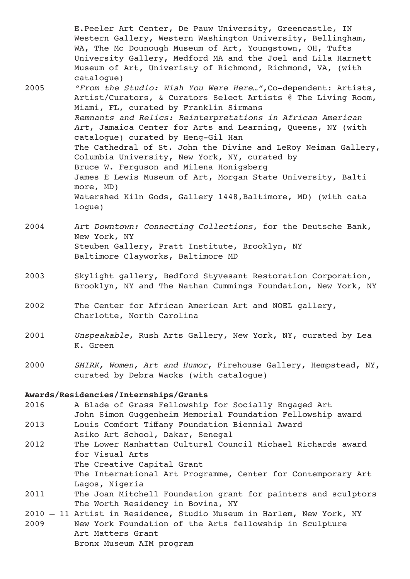Western Gallery, Western Washington University, Bellingham, WA, The Mc Dounough Museum of Art, Youngstown, OH, Tufts University Gallery, Medford MA and the Joel and Lila Harnett Museum of Art, Univeristy of Richmond, Richmond, VA, (with catalogue) 2005 *"From the Studio: Wish You Were Here…"*,Co-dependent: Artists, Artist/Curators, & Curators Select Artists @ The Living Room, Miami, FL, curated by Franklin Sirmans *Remnants and Relics: Reinterpretations in African American Art*, Jamaica Center for Arts and Learning, Queens, NY (with catalogue) curated by Heng-Gil Han The Cathedral of St. John the Divine and LeRoy Neiman Gallery, Columbia University, New York, NY, curated by Bruce W. Ferguson and Milena Honigsberg James E Lewis Museum of Art, Morgan State University, Balti more, MD) Watershed Kiln Gods, Gallery 1448,Baltimore, MD) (with cata logue)

E.Peeler Art Center, De Pauw University, Greencastle, IN

- 2004 *Art Downtown: Connecting Collections*, for the Deutsche Bank, New York, NY Steuben Gallery, Pratt Institute, Brooklyn, NY Baltimore Clayworks, Baltimore MD
- 2003 Skylight gallery, Bedford Styvesant Restoration Corporation, Brooklyn, NY and The Nathan Cummings Foundation, New York, NY
- 2002 The Center for African American Art and NOEL gallery, Charlotte, North Carolina
- 2001 *Unspeakable*, Rush Arts Gallery, New York, NY, curated by Lea K. Green
- 2000 *SMIRK, Women, Art and Humor*, Firehouse Gallery, Hempstead, NY, curated by Debra Wacks (with catalogue)

## **Awards/Residencies/Internships/Grants**

- 2016 A Blade of Grass Fellowship for Socially Engaged Art John Simon Guggenheim Memorial Foundation Fellowship award
- 2013 Louis Comfort Tiffany Foundation Biennial Award
- Asiko Art School, Dakar, Senegal
- 2012 The Lower Manhattan Cultural Council Michael Richards award for Visual Arts The Creative Capital Grant
	- The International Art Programme, Center for Contemporary Art Lagos, Nigeria
- 2011 The Joan Mitchell Foundation grant for painters and sculptors The Worth Residency in Bovina, NY
- 2010 11 Artist in Residence, Studio Museum in Harlem, New York, NY 2009 New York Foundation of the Arts fellowship in Sculpture Art Matters Grant Bronx Museum AIM program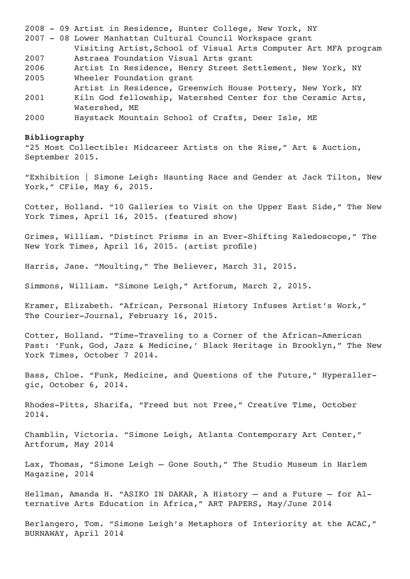2008 - 09 Artist in Residence, Hunter College, New York, NY

2007 - 08 Lower Manhattan Cultural Council Workspace grant

- Visiting Artist,School of Visual Arts Computer Art MFA program 2007 Astraea Foundation Visual Arts grant
- 2006 Artist In Residence, Henry Street Settlement, New York, NY 2005 Wheeler Foundation grant
- Artist in Residence, Greenwich House Pottery, New York, NY
- 2001 Kiln God fellowship, Watershed Center for the Ceramic Arts, Watershed, ME
- 2000 Haystack Mountain School of Crafts, Deer Isle, ME

#### **Bibliography**

"25 Most Collectible: Midcareer Artists on the Rise," Art & Auction, September 2015.

"Exhibition | Simone Leigh: Haunting Race and Gender at Jack Tilton, New York," CFile, May 6, 2015.

Cotter, Holland. "10 Galleries to Visit on the Upper East Side," The New York Times, April 16, 2015. (featured show)

Grimes, William. "Distinct Prisms in an Ever-Shifting Kaledoscope," The New York Times, April 16, 2015. (artist profile)

Harris, Jane. "Moulting," The Believer, March 31, 2015.

Simmons, William. "Simone Leigh," Artforum, March 2, 2015.

Kramer, Elizabeth. "African, Personal History Infuses Artist's Work," The Courier-Journal, February 16, 2015.

Cotter, Holland. "Time-Traveling to a Corner of the African-American Past: 'Funk, God, Jazz & Medicine,' Black Heritage in Brooklyn," The New York Times, October 7 2014.

Bass, Chloe. "Funk, Medicine, and Questions of the Future," Hyperallergic, October 6, 2014.

Rhodes-Pitts, Sharifa, "Freed but not Free," Creative Time, October 2014.

Chamblin, Victoria. "Simone Leigh, Atlanta Contemporary Art Center," Artforum, May 2014

Lax, Thomas, "Simone Leigh – Gone South," The Studio Museum in Harlem Magazine, 2014

Hellman, Amanda H. "ASIKO IN DAKAR, A History – and a Future – for Alternative Arts Education in Africa," ART PAPERS, May/June 2014

Berlangero, Tom. "Simone Leigh's Metaphors of Interiority at the ACAC," BURNAWAY, April 2014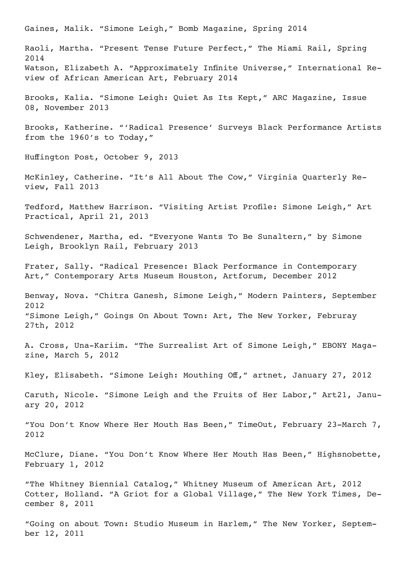Gaines, Malik. "Simone Leigh," Bomb Magazine, Spring 2014 Raoli, Martha. "Present Tense Future Perfect," The Miami Rail, Spring 2014 Watson, Elizabeth A. "Approximately Infinite Universe," International Review of African American Art, February 2014 Brooks, Kalia. "Simone Leigh: Quiet As Its Kept," ARC Magazine, Issue 08, November 2013 Brooks, Katherine. "'Radical Presence' Surveys Black Performance Artists from the 1960's to Today," Huffington Post, October 9, 2013 McKinley, Catherine. "It's All About The Cow," Virginia Quarterly Review, Fall 2013 Tedford, Matthew Harrison. "Visiting Artist Profile: Simone Leigh," Art Practical, April 21, 2013 Schwendener, Martha, ed. "Everyone Wants To Be Sunaltern," by Simone Leigh, Brooklyn Rail, February 2013 Frater, Sally. "Radical Presence: Black Performance in Contemporary Art," Contemporary Arts Museum Houston, Artforum, December 2012 Benway, Nova. "Chitra Ganesh, Simone Leigh," Modern Painters, September 2012 "Simone Leigh," Goings On About Town: Art, The New Yorker, Februray 27th, 2012 A. Cross, Una-Kariim. "The Surrealist Art of Simone Leigh," EBONY Magazine, March 5, 2012 Kley, Elisabeth. "Simone Leigh: Mouthing Off," artnet, January 27, 2012 Caruth, Nicole. "Simone Leigh and the Fruits of Her Labor," Art21, January 20, 2012 "You Don't Know Where Her Mouth Has Been," TimeOut, February 23-March 7, 2012 McClure, Diane. "You Don't Know Where Her Mouth Has Been," Highsnobette, February 1, 2012 "The Whitney Biennial Catalog," Whitney Museum of American Art, 2012 Cotter, Holland. "A Griot for a Global Village," The New York Times, December 8, 2011 "Going on about Town: Studio Museum in Harlem," The New Yorker, September 12, 2011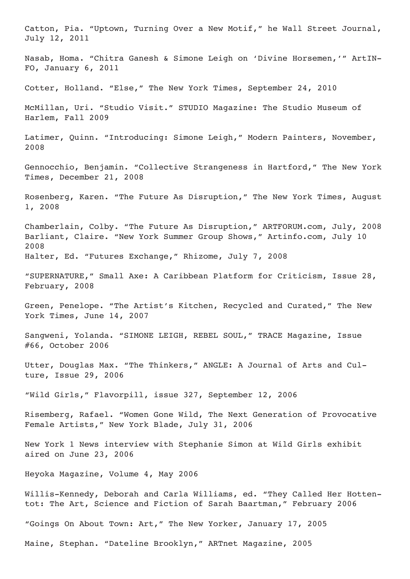Catton, Pia. "Uptown, Turning Over a New Motif," he Wall Street Journal, July 12, 2011 Nasab, Homa. "Chitra Ganesh & Simone Leigh on 'Divine Horsemen,'" ArtIN-FO, January 6, 2011 Cotter, Holland. "Else," The New York Times, September 24, 2010 McMillan, Uri. "Studio Visit." STUDIO Magazine: The Studio Museum of Harlem, Fall 2009 Latimer, Quinn. "Introducing: Simone Leigh," Modern Painters, November, 2008 Gennocchio, Benjamin. "Collective Strangeness in Hartford," The New York Times, December 21, 2008 Rosenberg, Karen. "The Future As Disruption," The New York Times, August 1, 2008 Chamberlain, Colby. "The Future As Disruption," ARTFORUM.com, July, 2008 Barliant, Claire. "New York Summer Group Shows," Artinfo.com, July 10 2008 Halter, Ed. "Futures Exchange," Rhizome, July 7, 2008 "SUPERNATURE," Small Axe: A Caribbean Platform for Criticism, Issue 28, February, 2008 Green, Penelope. "The Artist's Kitchen, Recycled and Curated," The New York Times, June 14, 2007 Sangweni, Yolanda. "SIMONE LEIGH, REBEL SOUL," TRACE Magazine, Issue #66, October 2006 Utter, Douglas Max. "The Thinkers," ANGLE: A Journal of Arts and Culture, Issue 29, 2006 "Wild Girls," Flavorpill, issue 327, September 12, 2006 Risemberg, Rafael. "Women Gone Wild, The Next Generation of Provocative Female Artists," New York Blade, July 31, 2006 New York 1 News interview with Stephanie Simon at Wild Girls exhibit aired on June 23, 2006 Heyoka Magazine, Volume 4, May 2006 Willis-Kennedy, Deborah and Carla Williams, ed. "They Called Her Hottentot: The Art, Science and Fiction of Sarah Baartman," February 2006 "Goings On About Town: Art," The New Yorker, January 17, 2005 Maine, Stephan. "Dateline Brooklyn," ARTnet Magazine, 2005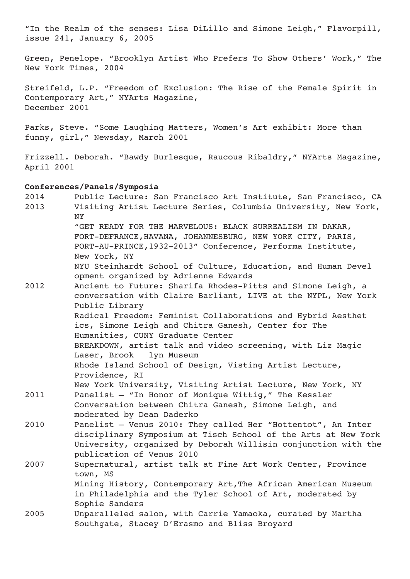"In the Realm of the senses: Lisa DiLillo and Simone Leigh," Flavorpill, issue 241, January 6, 2005

Green, Penelope. "Brooklyn Artist Who Prefers To Show Others' Work," The New York Times, 2004

Streifeld, L.P. "Freedom of Exclusion: The Rise of the Female Spirit in Contemporary Art," NYArts Magazine, December 2001

Parks, Steve. "Some Laughing Matters, Women's Art exhibit: More than funny, girl," Newsday, March 2001

Frizzell. Deborah. "Bawdy Burlesque, Raucous Ribaldry," NYArts Magazine, April 2001

## **Conferences/Panels/Symposia**

| 2014 | Public Lecture: San Francisco Art Institute, San Francisco, CA |
|------|----------------------------------------------------------------|
| 2013 | Visiting Artist Lecture Series, Columbia University, New York, |
|      | NY                                                             |
|      | "GET READY FOR THE MARVELOUS: BLACK SURREALISM IN DAKAR,       |
|      | FORT-DEFRANCE, HAVANA, JOHANNESBURG, NEW YORK CITY, PARIS,     |
|      | PORT-AU-PRINCE, 1932-2013" Conference, Performa Institute,     |
|      | New York, NY                                                   |
|      | NYU Steinhardt School of Culture, Education, and Human Devel   |
|      | opment organized by Adrienne Edwards                           |
| 2012 | Ancient to Future: Sharifa Rhodes-Pitts and Simone Leigh, a    |
|      | conversation with Claire Barliant, LIVE at the NYPL, New York  |
|      | Public Library                                                 |
|      | Radical Freedom: Feminist Collaborations and Hybrid Aesthet    |
|      | ics, Simone Leigh and Chitra Ganesh, Center for The            |
|      | Humanities, CUNY Graduate Center                               |
|      | BREAKDOWN, artist talk and video screening, with Liz Magic     |
|      | Laser, Brook<br>lyn Museum                                     |
|      | Rhode Island School of Design, Visting Artist Lecture,         |
|      | Providence, RI                                                 |
|      | New York University, Visiting Artist Lecture, New York, NY     |
| 2011 | Panelist - "In Honor of Monique Wittig," The Kessler           |
|      | Conversation between Chitra Ganesh, Simone Leigh, and          |
|      | moderated by Dean Daderko                                      |
| 2010 | Panelist - Venus 2010: They called Her "Hottentot", An Inter   |
|      | disciplinary Symposium at Tisch School of the Arts at New York |
|      | University, organized by Deborah Willisin conjunction with the |
|      | publication of Venus 2010                                      |
| 2007 | Supernatural, artist talk at Fine Art Work Center, Province    |
|      | town, MS                                                       |
|      | Mining History, Contemporary Art, The African American Museum  |
|      | in Philadelphia and the Tyler School of Art, moderated by      |
|      | Sophie Sanders                                                 |
| 2005 | Unparalleled salon, with Carrie Yamaoka, curated by Martha     |
|      | Southgate, Stacey D'Erasmo and Bliss Broyard                   |